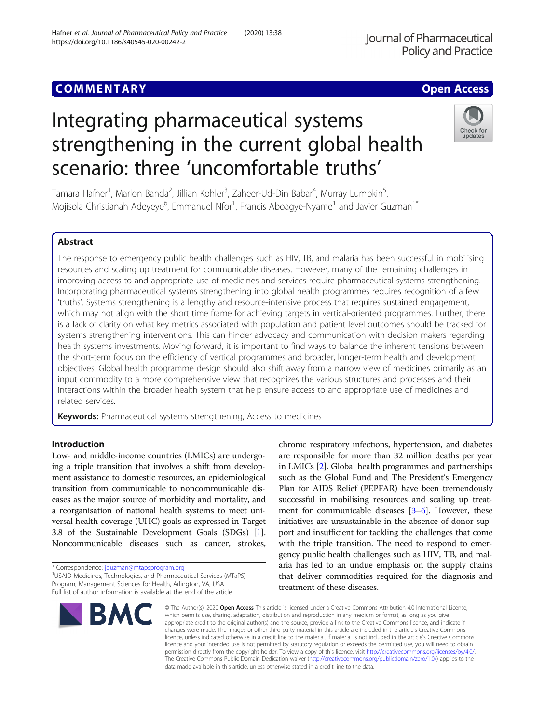# **COMMENTARY COMMENTARY COMMENTARY**

# Integrating pharmaceutical systems strengthening in the current global health scenario: three 'uncomfortable truths'

Tamara Hafner<sup>1</sup>, Marlon Banda<sup>2</sup>, Jillian Kohler<sup>3</sup>, Zaheer-Ud-Din Babar<sup>4</sup>, Murray Lumpkin<sup>5</sup> , Mojisola Christianah Adeyeye<sup>6</sup>, Emmanuel Nfor<sup>1</sup>, Francis Aboagye-Nyame<sup>1</sup> and Javier Guzman<sup>1\*</sup>

# Abstract

The response to emergency public health challenges such as HIV, TB, and malaria has been successful in mobilising resources and scaling up treatment for communicable diseases. However, many of the remaining challenges in improving access to and appropriate use of medicines and services require pharmaceutical systems strengthening. Incorporating pharmaceutical systems strengthening into global health programmes requires recognition of a few 'truths'. Systems strengthening is a lengthy and resource-intensive process that requires sustained engagement, which may not align with the short time frame for achieving targets in vertical-oriented programmes. Further, there is a lack of clarity on what key metrics associated with population and patient level outcomes should be tracked for systems strengthening interventions. This can hinder advocacy and communication with decision makers regarding health systems investments. Moving forward, it is important to find ways to balance the inherent tensions between the short-term focus on the efficiency of vertical programmes and broader, longer-term health and development objectives. Global health programme design should also shift away from a narrow view of medicines primarily as an input commodity to a more comprehensive view that recognizes the various structures and processes and their interactions within the broader health system that help ensure access to and appropriate use of medicines and related services.

**Keywords:** Pharmaceutical systems strengthening, Access to medicines

# Introduction

Low- and middle-income countries (LMICs) are undergoing a triple transition that involves a shift from development assistance to domestic resources, an epidemiological transition from communicable to noncommunicable diseases as the major source of morbidity and mortality, and a reorganisation of national health systems to meet universal health coverage (UHC) goals as expressed in Target 3.8 of the Sustainable Development Goals (SDGs) [[1](#page-2-0)]. Noncommunicable diseases such as cancer, strokes,

\* Correspondence: [jguzman@mtapsprogram.org](mailto:jguzman@mtapsprogram.org) <sup>1</sup>

**BMC** 

Program, Management Sciences for Health, Arlington, VA, USA Full list of author information is available at the end of the article



© The Author(s), 2020 **Open Access** This article is licensed under a Creative Commons Attribution 4.0 International License, which permits use, sharing, adaptation, distribution and reproduction in any medium or format, as long as you give appropriate credit to the original author(s) and the source, provide a link to the Creative Commons licence, and indicate if changes were made. The images or other third party material in this article are included in the article's Creative Commons licence, unless indicated otherwise in a credit line to the material. If material is not included in the article's Creative Commons licence and your intended use is not permitted by statutory regulation or exceeds the permitted use, you will need to obtain permission directly from the copyright holder. To view a copy of this licence, visit [http://creativecommons.org/licenses/by/4.0/.](http://creativecommons.org/licenses/by/4.0/) The Creative Commons Public Domain Dedication waiver [\(http://creativecommons.org/publicdomain/zero/1.0/](http://creativecommons.org/publicdomain/zero/1.0/)) applies to the data made available in this article, unless otherwise stated in a credit line to the data.

chronic respiratory infections, hypertension, and diabetes are responsible for more than 32 million deaths per year in LMICs [\[2\]](#page-2-0). Global health programmes and partnerships such as the Global Fund and The President's Emergency Plan for AIDS Relief (PEPFAR) have been tremendously successful in mobilising resources and scaling up treatment for communicable diseases [[3](#page-2-0)–[6](#page-3-0)]. However, these initiatives are unsustainable in the absence of donor support and insufficient for tackling the challenges that come

# Journal of Pharmaceutical **Policy and Practice**



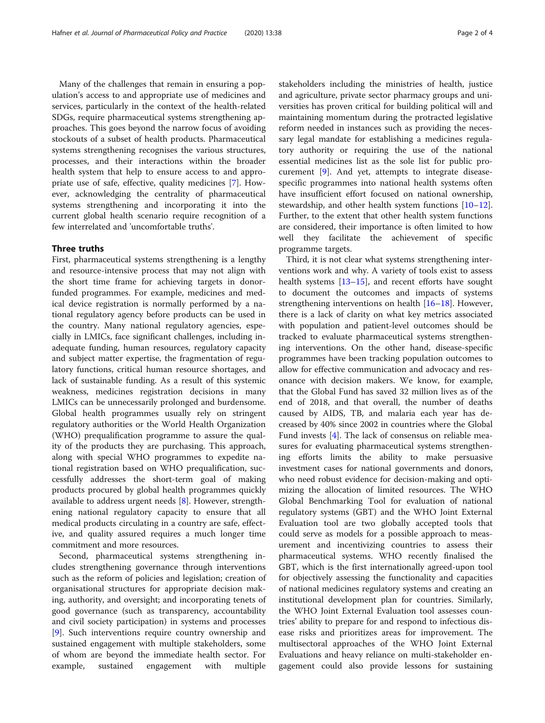Many of the challenges that remain in ensuring a population's access to and appropriate use of medicines and services, particularly in the context of the health-related SDGs, require pharmaceutical systems strengthening approaches. This goes beyond the narrow focus of avoiding stockouts of a subset of health products. Pharmaceutical systems strengthening recognises the various structures, processes, and their interactions within the broader health system that help to ensure access to and appropriate use of safe, effective, quality medicines [\[7](#page-3-0)]. However, acknowledging the centrality of pharmaceutical systems strengthening and incorporating it into the current global health scenario require recognition of a few interrelated and 'uncomfortable truths'.

# Three truths

First, pharmaceutical systems strengthening is a lengthy and resource-intensive process that may not align with the short time frame for achieving targets in donorfunded programmes. For example, medicines and medical device registration is normally performed by a national regulatory agency before products can be used in the country. Many national regulatory agencies, especially in LMICs, face significant challenges, including inadequate funding, human resources, regulatory capacity and subject matter expertise, the fragmentation of regulatory functions, critical human resource shortages, and lack of sustainable funding. As a result of this systemic weakness, medicines registration decisions in many LMICs can be unnecessarily prolonged and burdensome. Global health programmes usually rely on stringent regulatory authorities or the World Health Organization (WHO) prequalification programme to assure the quality of the products they are purchasing. This approach, along with special WHO programmes to expedite national registration based on WHO prequalification, successfully addresses the short-term goal of making products procured by global health programmes quickly available to address urgent needs [\[8](#page-3-0)]. However, strengthening national regulatory capacity to ensure that all medical products circulating in a country are safe, effective, and quality assured requires a much longer time commitment and more resources.

Second, pharmaceutical systems strengthening includes strengthening governance through interventions such as the reform of policies and legislation; creation of organisational structures for appropriate decision making, authority, and oversight; and incorporating tenets of good governance (such as transparency, accountability and civil society participation) in systems and processes [[9\]](#page-3-0). Such interventions require country ownership and sustained engagement with multiple stakeholders, some of whom are beyond the immediate health sector. For example, sustained engagement with multiple stakeholders including the ministries of health, justice and agriculture, private sector pharmacy groups and universities has proven critical for building political will and maintaining momentum during the protracted legislative reform needed in instances such as providing the necessary legal mandate for establishing a medicines regulatory authority or requiring the use of the national essential medicines list as the sole list for public procurement [\[9](#page-3-0)]. And yet, attempts to integrate diseasespecific programmes into national health systems often have insufficient effort focused on national ownership, stewardship, and other health system functions [[10](#page-3-0)–[12](#page-3-0)]. Further, to the extent that other health system functions are considered, their importance is often limited to how well they facilitate the achievement of specific programme targets.

Third, it is not clear what systems strengthening interventions work and why. A variety of tools exist to assess health systems [\[13](#page-3-0)–[15\]](#page-3-0), and recent efforts have sought to document the outcomes and impacts of systems strengthening interventions on health [[16](#page-3-0)–[18](#page-3-0)]. However, there is a lack of clarity on what key metrics associated with population and patient-level outcomes should be tracked to evaluate pharmaceutical systems strengthening interventions. On the other hand, disease-specific programmes have been tracking population outcomes to allow for effective communication and advocacy and resonance with decision makers. We know, for example, that the Global Fund has saved 32 million lives as of the end of 2018, and that overall, the number of deaths caused by AIDS, TB, and malaria each year has decreased by 40% since 2002 in countries where the Global Fund invests [\[4\]](#page-3-0). The lack of consensus on reliable measures for evaluating pharmaceutical systems strengthening efforts limits the ability to make persuasive investment cases for national governments and donors, who need robust evidence for decision-making and optimizing the allocation of limited resources. The WHO Global Benchmarking Tool for evaluation of national regulatory systems (GBT) and the WHO Joint External Evaluation tool are two globally accepted tools that could serve as models for a possible approach to measurement and incentivizing countries to assess their pharmaceutical systems. WHO recently finalised the GBT, which is the first internationally agreed-upon tool for objectively assessing the functionality and capacities of national medicines regulatory systems and creating an institutional development plan for countries. Similarly, the WHO Joint External Evaluation tool assesses countries' ability to prepare for and respond to infectious disease risks and prioritizes areas for improvement. The multisectoral approaches of the WHO Joint External Evaluations and heavy reliance on multi-stakeholder engagement could also provide lessons for sustaining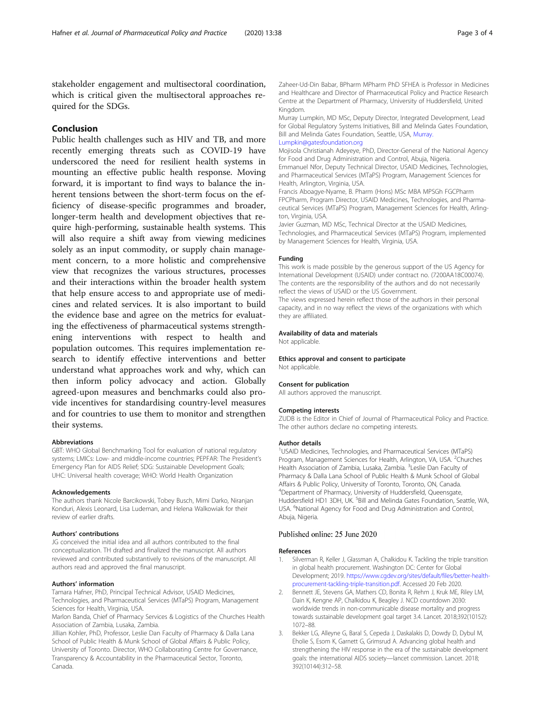<span id="page-2-0"></span>stakeholder engagement and multisectoral coordination, which is critical given the multisectoral approaches required for the SDGs.

# Conclusion

Public health challenges such as HIV and TB, and more recently emerging threats such as COVID-19 have underscored the need for resilient health systems in mounting an effective public health response. Moving forward, it is important to find ways to balance the inherent tensions between the short-term focus on the efficiency of disease-specific programmes and broader, longer-term health and development objectives that require high-performing, sustainable health systems. This will also require a shift away from viewing medicines solely as an input commodity, or supply chain management concern, to a more holistic and comprehensive view that recognizes the various structures, processes and their interactions within the broader health system that help ensure access to and appropriate use of medicines and related services. It is also important to build the evidence base and agree on the metrics for evaluating the effectiveness of pharmaceutical systems strengthening interventions with respect to health and population outcomes. This requires implementation research to identify effective interventions and better understand what approaches work and why, which can then inform policy advocacy and action. Globally agreed-upon measures and benchmarks could also provide incentives for standardising country-level measures and for countries to use them to monitor and strengthen their systems.

# Abbreviations

GBT: WHO Global Benchmarking Tool for evaluation of national regulatory systems; LMICs: Low- and middle-income countries; PEPFAR: The President's Emergency Plan for AIDS Relief; SDG: Sustainable Development Goals; UHC: Universal health coverage; WHO: World Health Organization

#### Acknowledgements

The authors thank Nicole Barcikowski, Tobey Busch, Mimi Darko, Niranjan Konduri, Alexis Leonard, Lisa Ludeman, and Helena Walkowiak for their review of earlier drafts.

## Authors' contributions

JG conceived the initial idea and all authors contributed to the final conceptualization. TH drafted and finalized the manuscript. All authors reviewed and contributed substantively to revisions of the manuscript. All authors read and approved the final manuscript.

# Authors' information

Tamara Hafner, PhD, Principal Technical Advisor, USAID Medicines, Technologies, and Pharmaceutical Services (MTaPS) Program, Management Sciences for Health, Virginia, USA.

Marlon Banda, Chief of Pharmacy Services & Logistics of the Churches Health Association of Zambia, Lusaka, Zambia.

Jillian Kohler, PhD, Professor, Leslie Dan Faculty of Pharmacy & Dalla Lana School of Public Health & Munk School of Global Affairs & Public Policy, University of Toronto. Director, WHO Collaborating Centre for Governance, Transparency & Accountability in the Pharmaceutical Sector, Toronto, Canada.

Zaheer-Ud-Din Babar, BPharm MPharm PhD SFHEA is Professor in Medicines and Healthcare and Director of Pharmaceutical Policy and Practice Research Centre at the Department of Pharmacy, University of Huddersfield, United Kingdom.

Murray Lumpkin, MD MSc, Deputy Director, Integrated Development, Lead for Global Regulatory Systems Initiatives, Bill and Melinda Gates Foundation, Bill and Melinda Gates Foundation, Seattle, USA, [Murray.](mailto:Murray.Lumpkin@gatesfoundation.org) [Lumpkin@gatesfoundation.org](mailto:Murray.Lumpkin@gatesfoundation.org)

Mojisola Christianah Adeyeye, PhD, Director-General of the National Agency for Food and Drug Administration and Control, Abuja, Nigeria.

Emmanuel Nfor, Deputy Technical Director, USAID Medicines, Technologies, and Pharmaceutical Services (MTaPS) Program, Management Sciences for Health, Arlington, Virginia, USA.

Francis Aboagye-Nyame, B. Pharm (Hons) MSc MBA MPSGh FGCPharm FPCPharm, Program Director, USAID Medicines, Technologies, and Pharmaceutical Services (MTaPS) Program, Management Sciences for Health, Arlington, Virginia, USA.

Javier Guzman, MD MSc, Technical Director at the USAID Medicines, Technologies, and Pharmaceutical Services (MTaPS) Program, implemented by Management Sciences for Health, Virginia, USA.

# Funding

This work is made possible by the generous support of the US Agency for International Development (USAID) under contract no. (7200AA18C00074). The contents are the responsibility of the authors and do not necessarily reflect the views of USAID or the US Government.

The views expressed herein reflect those of the authors in their personal capacity, and in no way reflect the views of the organizations with which they are affiliated.

# Availability of data and materials

Not applicable.

# Ethics approval and consent to participate

Not applicable.

# Consent for publication

All authors approved the manuscript.

#### Competing interests

ZUDB is the Editor in Chief of Journal of Pharmaceutical Policy and Practice. The other authors declare no competing interests.

#### Author details

<sup>1</sup>USAID Medicines, Technologies, and Pharmaceutical Services (MTaPS) Program, Management Sciences for Health, Arlington, VA, USA. <sup>2</sup>Churches Health Association of Zambia, Lusaka, Zambia. <sup>3</sup>Leslie Dan Faculty of Pharmacy & Dalla Lana School of Public Health & Munk School of Global Affairs & Public Policy, University of Toronto, Toronto, ON, Canada. 4 Department of Pharmacy, University of Huddersfield, Queensgate, Huddersfield HD1 3DH, UK. <sup>5</sup>Bill and Melinda Gates Foundation, Seattle, WA USA. <sup>6</sup>National Agency for Food and Drug Administration and Control, Abuja, Nigeria.

# Published online: 25 June 2020

#### References

- 1. Silverman R, Keller J, Glassman A, Chalkidou K. Tackling the triple transition in global health procurement. Washington DC: Center for Global Development; 2019. [https://www.cgdev.org/sites/default/files/better-health](https://www.cgdev.org/sites/default/files/better-health-procurement-tackling-triple-transition.pdf)[procurement-tackling-triple-transition.pdf.](https://www.cgdev.org/sites/default/files/better-health-procurement-tackling-triple-transition.pdf) Accessed 20 Feb 2020.
- 2. Bennett JE, Stevens GA, Mathers CD, Bonita R, Rehm J, Kruk ME, Riley LM, Dain K, Kengne AP, Chalkidou K, Beagley J. NCD countdown 2030: worldwide trends in non-communicable disease mortality and progress towards sustainable development goal target 3.4. Lancet. 2018;392(10152): 1072–88.
- Bekker LG, Alleyne G, Baral S, Cepeda J, Daskalakis D, Dowdy D, Dybul M, Eholie S, Esom K, Garnett G, Grimsrud A. Advancing global health and strengthening the HIV response in the era of the sustainable development goals: the international AIDS society—lancet commission. Lancet. 2018; 392(10144):312–58.